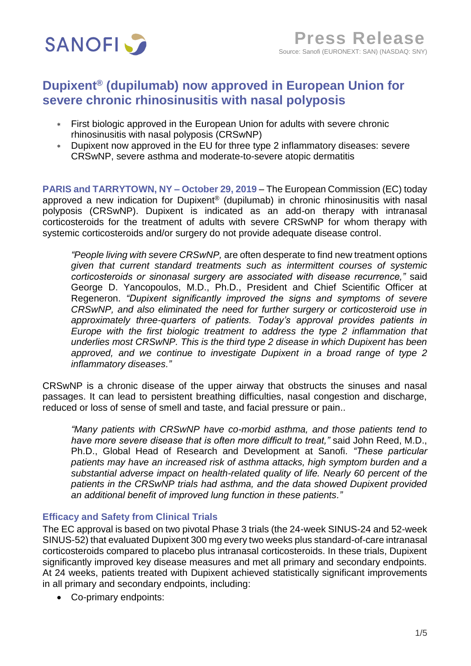

# **Dupixent® (dupilumab) now approved in European Union for severe chronic rhinosinusitis with nasal polyposis**

- First biologic approved in the European Union for adults with severe chronic rhinosinusitis with nasal polyposis (CRSwNP)
- Dupixent now approved in the EU for three type 2 inflammatory diseases: severe CRSwNP, severe asthma and moderate-to-severe atopic dermatitis

**PARIS and TARRYTOWN, NY – October 29, 2019** – The European Commission (EC) today approved a new indication for Dupixent® (dupilumab) in chronic rhinosinusitis with nasal polyposis (CRSwNP). Dupixent is indicated as an add-on therapy with intranasal corticosteroids for the treatment of adults with severe CRSwNP for whom therapy with systemic corticosteroids and/or surgery do not provide adequate disease control.

*"People living with severe CRSwNP,* are often desperate to find new treatment options *given that current standard treatments such as intermittent courses of systemic corticosteroids or sinonasal surgery are associated with disease recurrence,"* said George D. Yancopoulos, M.D., Ph.D., President and Chief Scientific Officer at Regeneron. *"Dupixent significantly improved the signs and symptoms of severe CRSwNP, and also eliminated the need for further surgery or corticosteroid use in approximately three-quarters of patients. Today's approval provides patients in Europe with the first biologic treatment to address the type 2 inflammation that underlies most CRSwNP. This is the third type 2 disease in which Dupixent has been*  approved, and we continue to investigate Dupixent in a broad range of type 2 *inflammatory diseases."*

CRSwNP is a chronic disease of the upper airway that obstructs the sinuses and nasal passages. It can lead to persistent breathing difficulties, nasal congestion and discharge, reduced or loss of sense of smell and taste, and facial pressure or pain..

*"Many patients with CRSwNP have co-morbid asthma, and those patients tend to have more severe disease that is often more difficult to treat,"* said John Reed, M.D., Ph.D., Global Head of Research and Development at Sanofi*. "These particular patients may have an increased risk of asthma attacks, high symptom burden and a substantial adverse impact on health-related quality of life. Nearly 60 percent of the patients in the CRSwNP trials had asthma, and the data showed Dupixent provided an additional benefit of improved lung function in these patients."*

## **Efficacy and Safety from Clinical Trials**

The EC approval is based on two pivotal Phase 3 trials (the 24-week SINUS-24 and 52-week SINUS-52) that evaluated Dupixent 300 mg every two weeks plus standard-of-care intranasal corticosteroids compared to placebo plus intranasal corticosteroids. In these trials, Dupixent significantly improved key disease measures and met all primary and secondary endpoints. At 24 weeks, patients treated with Dupixent achieved statistically significant improvements in all primary and secondary endpoints, including:

• Co-primary endpoints: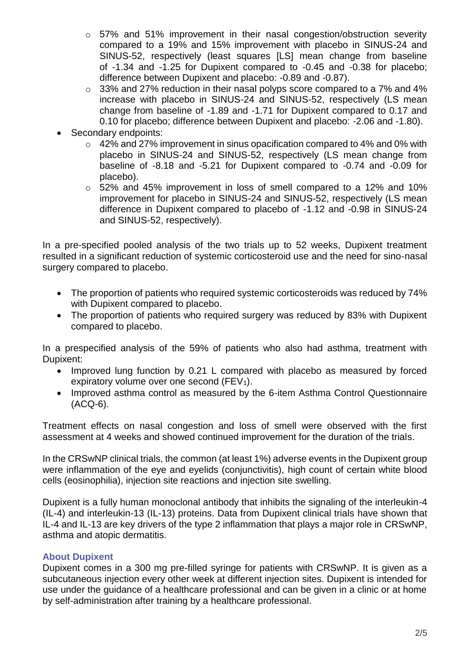- o 57% and 51% improvement in their nasal congestion/obstruction severity compared to a 19% and 15% improvement with placebo in SINUS-24 and SINUS-52, respectively (least squares [LS] mean change from baseline of -1.34 and -1.25 for Dupixent compared to -0.45 and -0.38 for placebo; difference between Dupixent and placebo: -0.89 and -0.87).
- o 33% and 27% reduction in their nasal polyps score compared to a 7% and 4% increase with placebo in SINUS-24 and SINUS-52, respectively (LS mean change from baseline of -1.89 and -1.71 for Dupixent compared to 0.17 and 0.10 for placebo; difference between Dupixent and placebo: -2.06 and -1.80).
- Secondary endpoints:
	- o 42% and 27% improvement in sinus opacification compared to 4% and 0% with placebo in SINUS-24 and SINUS-52, respectively (LS mean change from baseline of -8.18 and -5.21 for Dupixent compared to -0.74 and -0.09 for placebo).
	- o 52% and 45% improvement in loss of smell compared to a 12% and 10% improvement for placebo in SINUS-24 and SINUS-52, respectively (LS mean difference in Dupixent compared to placebo of -1.12 and -0.98 in SINUS-24 and SINUS-52, respectively).

In a pre-specified pooled analysis of the two trials up to 52 weeks, Dupixent treatment resulted in a significant reduction of systemic corticosteroid use and the need for sino-nasal surgery compared to placebo.

- The proportion of patients who required systemic corticosteroids was reduced by 74% with Dupixent compared to placebo.
- The proportion of patients who required surgery was reduced by 83% with Dupixent compared to placebo.

In a prespecified analysis of the 59% of patients who also had asthma, treatment with Dupixent:

- Improved lung function by 0.21 L compared with placebo as measured by forced expiratory volume over one second ( $FEV<sub>1</sub>$ ).
- Improved asthma control as measured by the 6-item Asthma Control Questionnaire (ACQ-6).

Treatment effects on nasal congestion and loss of smell were observed with the first assessment at 4 weeks and showed continued improvement for the duration of the trials.

In the CRSwNP clinical trials, the common (at least 1%) adverse events in the Dupixent group were inflammation of the eye and eyelids (conjunctivitis), high count of certain white blood cells (eosinophilia), injection site reactions and injection site swelling.

Dupixent is a fully human monoclonal antibody that inhibits the signaling of the interleukin-4 (IL-4) and interleukin-13 (IL-13) proteins. Data from Dupixent clinical trials have shown that IL-4 and IL-13 are key drivers of the type 2 inflammation that plays a major role in CRSwNP, asthma and atopic dermatitis.

# **About Dupixent**

Dupixent comes in a 300 mg pre-filled syringe for patients with CRSwNP. It is given as a subcutaneous injection every other week at different injection sites. Dupixent is intended for use under the guidance of a healthcare professional and can be given in a clinic or at home by self-administration after training by a healthcare professional.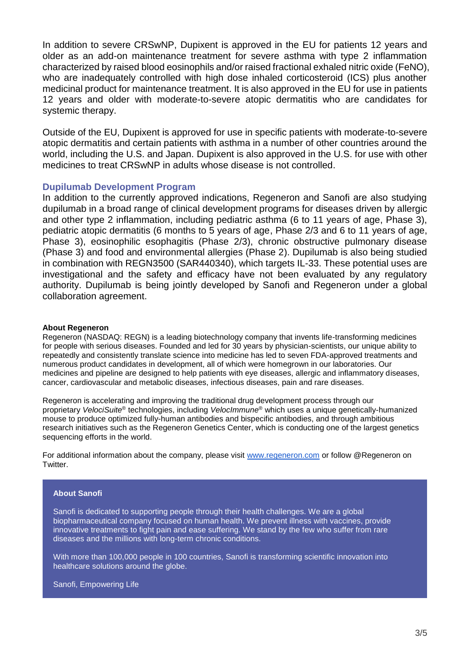In addition to severe CRSwNP, Dupixent is approved in the EU for patients 12 years and older as an add-on maintenance treatment for severe asthma with type 2 inflammation characterized by raised blood eosinophils and/or raised fractional exhaled nitric oxide (FeNO), who are inadequately controlled with high dose inhaled corticosteroid (ICS) plus another medicinal product for maintenance treatment. It is also approved in the EU for use in patients 12 years and older with moderate-to-severe atopic dermatitis who are candidates for systemic therapy.

Outside of the EU, Dupixent is approved for use in specific patients with moderate-to-severe atopic dermatitis and certain patients with asthma in a number of other countries around the world, including the U.S. and Japan. Dupixent is also approved in the U.S. for use with other medicines to treat CRSwNP in adults whose disease is not controlled.

## **Dupilumab Development Program**

In addition to the currently approved indications, Regeneron and Sanofi are also studying dupilumab in a broad range of clinical development programs for diseases driven by allergic and other type 2 inflammation, including pediatric asthma (6 to 11 years of age, Phase 3), pediatric atopic dermatitis (6 months to 5 years of age, Phase 2/3 and 6 to 11 years of age, Phase 3), eosinophilic esophagitis (Phase 2/3), chronic obstructive pulmonary disease (Phase 3) and food and environmental allergies (Phase 2). Dupilumab is also being studied in combination with REGN3500 (SAR440340), which targets IL-33. These potential uses are investigational and the safety and efficacy have not been evaluated by any regulatory authority. Dupilumab is being jointly developed by Sanofi and Regeneron under a global collaboration agreement.

### **About Regeneron**

Regeneron (NASDAQ: REGN) is a leading biotechnology company that invents life-transforming medicines for people with serious diseases. Founded and led for 30 years by physician-scientists, our unique ability to repeatedly and consistently translate science into medicine has led to seven FDA-approved treatments and numerous product candidates in development, all of which were homegrown in our laboratories. Our medicines and pipeline are designed to help patients with eye diseases, allergic and inflammatory diseases, cancer, cardiovascular and metabolic diseases, infectious diseases, pain and rare diseases.

Regeneron is accelerating and improving the traditional drug development process through our proprietary *VelociSuite*® technologies, including *VelocImmune*® which uses a unique genetically-humanized mouse to produce optimized fully-human antibodies and bispecific antibodies, and through ambitious research initiatives such as the Regeneron Genetics Center, which is conducting one of the largest genetics sequencing efforts in the world.

For additional information about the company, please visit [www.regeneron.com](http://www.regeneron.com/) or follow @Regeneron on Twitter.

#### **About Sanofi**

Sanofi is dedicated to supporting people through their health challenges. We are a global biopharmaceutical company focused on human health. We prevent illness with vaccines, provide innovative treatments to fight pain and ease suffering. We stand by the few who suffer from rare diseases and the millions with long-term chronic conditions.

With more than 100,000 people in 100 countries, Sanofi is transforming scientific innovation into healthcare solutions around the globe.

Sanofi, Empowering Life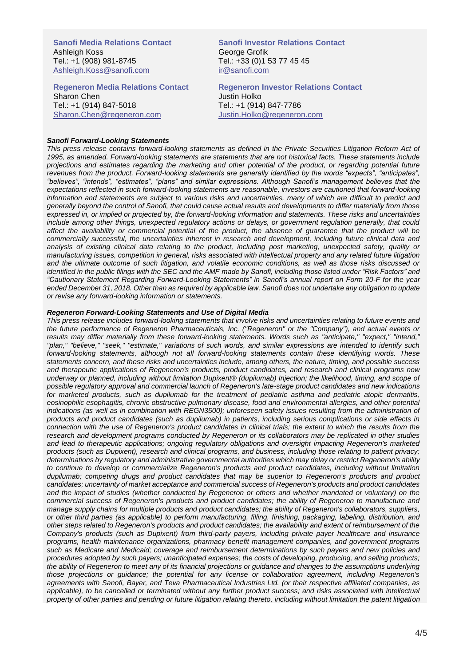**Sanofi Media Relations Contact** Ashleigh Koss Tel.: +1 (908) 981-8745 Ashleigh.Koss@sanofi.com

**Regeneron Media Relations Contact** Sharon Chen Tel.: +1 (914) 847-5018 [Sharon.Chen@regeneron.com](mailto:Sharon.Chen@regeneron.com)

**Sanofi Investor Relations Contact** George Grofik Tel.: +33 (0)1 53 77 45 45 [ir@sanofi.com](mailto:ir@sanofi.com)

**Regeneron Investor Relations Contact** Justin Holko Tel.: +1 (914) 847-7786 Justin.Holko@regeneron.com

#### *Sanofi Forward-Looking Statements*

*This press release contains forward-looking statements as defined in the Private Securities Litigation Reform Act of 1995, as amended. Forward-looking statements are statements that are not historical facts. These statements include projections and estimates regarding the marketing and other potential of the product, or regarding potential future revenues from the product. Forward-looking statements are generally identified by the words "expects", "anticipates", "believes", "intends", "estimates", "plans" and similar expressions. Although Sanofi's management believes that the expectations reflected in such forward-looking statements are reasonable, investors are cautioned that forward-looking*  information and statements are subject to various risks and uncertainties, many of which are difficult to predict and *generally beyond the control of Sanofi, that could cause actual results and developments to differ materially from those expressed in, or implied or projected by, the forward-looking information and statements. These risks and uncertainties include among other things, unexpected regulatory actions or delays, or government regulation generally, that could*  affect the availability or commercial potential of the product, the absence of quarantee that the product will be commercially successful, the uncertainties inherent in research and development, including future clinical data and *analysis of existing clinical data relating to the product, including post marketing, unexpected safety, quality or manufacturing issues, competition in general, risks associated with intellectual property and any related future litigation and the ultimate outcome of such litigation, and volatile economic conditions, as well as those risks discussed or identified in the public filings with the SEC and the AMF made by Sanofi, including those listed under "Risk Factors" and "Cautionary Statement Regarding Forward-Looking Statements" in Sanofi's annual report on Form 20-F for the year ended December 31, 2018. Other than as required by applicable law, Sanofi does not undertake any obligation to update or revise any forward-looking information or statements.*

#### *Regeneron Forward-Looking Statements and Use of Digital Media*

*This press release includes forward-looking statements that involve risks and uncertainties relating to future events and the future performance of Regeneron Pharmaceuticals, Inc. ("Regeneron" or the "Company"), and actual events or results may differ materially from these forward-looking statements. Words such as "anticipate," "expect," "intend," "plan," "believe," "seek," "estimate," variations of such words, and similar expressions are intended to identify such forward-looking statements, although not all forward-looking statements contain these identifying words. These statements concern, and these risks and uncertainties include, among others, the nature, timing, and possible success and therapeutic applications of Regeneron's products, product candidates, and research and clinical programs now underway or planned, including without limitation Dupixent® (dupilumab) Injection; the likelihood, timing, and scope of possible regulatory approval and commercial launch of Regeneron's late-stage product candidates and new indications for marketed products, such as dupilumab for the treatment of pediatric asthma and pediatric atopic dermatitis, eosinophilic esophagitis, chronic obstructive pulmonary disease, food and environmental allergies, and other potential*  indications (as well as in combination with REGN3500); unforeseen safety issues resulting from the administration of *products and product candidates (such as dupilumab) in patients, including serious complications or side effects in connection with the use of Regeneron's product candidates in clinical trials; the extent to which the results from the research and development programs conducted by Regeneron or its collaborators may be replicated in other studies and lead to therapeutic applications; ongoing regulatory obligations and oversight impacting Regeneron's marketed products (such as Dupixent), research and clinical programs, and business, including those relating to patient privacy; determinations by regulatory and administrative governmental authorities which may delay or restrict Regeneron's ability to continue to develop or commercialize Regeneron's products and product candidates, including without limitation dupilumab; competing drugs and product candidates that may be superior to Regeneron's products and product candidates; uncertainty of market acceptance and commercial success of Regeneron's products and product candidates and the impact of studies (whether conducted by Regeneron or others and whether mandated or voluntary) on the commercial success of Regeneron's products and product candidates; the ability of Regeneron to manufacture and manage supply chains for multiple products and product candidates; the ability of Regeneron's collaborators, suppliers, or other third parties (as applicable) to perform manufacturing, filling, finishing, packaging, labeling, distribution, and other steps related to Regeneron's products and product candidates; the availability and extent of reimbursement of the Company's products (such as Dupixent) from third-party payers, including private payer healthcare and insurance programs, health maintenance organizations, pharmacy benefit management companies, and government programs such as Medicare and Medicaid; coverage and reimbursement determinations by such payers and new policies and procedures adopted by such payers; unanticipated expenses; the costs of developing, producing, and selling products; the ability of Regeneron to meet any of its financial projections or guidance and changes to the assumptions underlying those projections or guidance; the potential for any license or collaboration agreement, including Regeneron's agreements with Sanofi, Bayer, and Teva Pharmaceutical Industries Ltd. (or their respective affiliated companies, as applicable), to be cancelled or terminated without any further product success; and risks associated with intellectual property of other parties and pending or future litigation relating thereto, including without limitation the patent litigation*